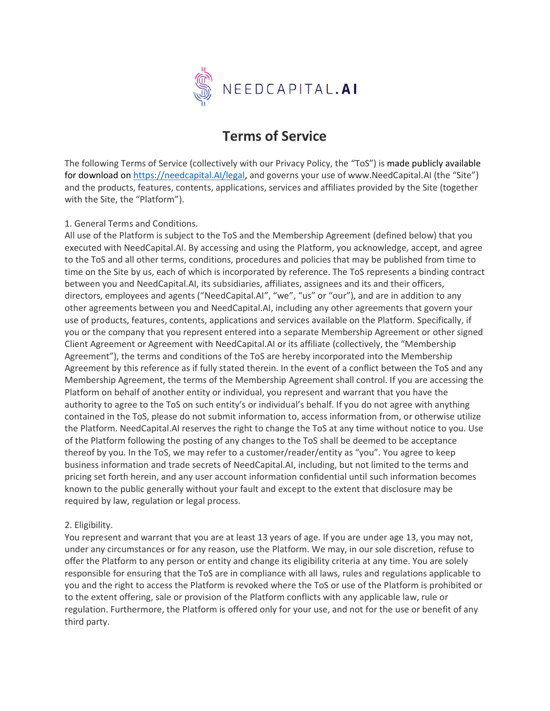

# **Terms of Service**

The following Terms of Service (collectively with our Privacy Policy, the "ToS") is made publicly available for download o[n https://needcapital.AI/legal,](https://needcapital.ai/legal) and governs your use of www.NeedCapital.AI (the "Site") and the products, features, contents, applications, services and affiliates provided by the Site (together with the Site, the "Platform").

## 1. General Terms and Conditions.

All use of the Platform is subject to the ToS and the Membership Agreement (defined below) that you executed with NeedCapital.AI. By accessing and using the Platform, you acknowledge, accept, and agree to the ToS and all other terms, conditions, procedures and policies that may be published from time to time on the Site by us, each of which is incorporated by reference. The ToS represents a binding contract between you and NeedCapital.AI, its subsidiaries, affiliates, assignees and its and their officers, directors, employees and agents ("NeedCapital.AI", "we", "us" or "our"), and are in addition to any other agreements between you and NeedCapital.AI, including any other agreements that govern your use of products, features, contents, applications and services available on the Platform. Specifically, if you or the company that you represent entered into a separate Membership Agreement or other signed Client Agreement or Agreement with NeedCapital.AI or its affiliate (collectively, the "Membership Agreement"), the terms and conditions of the ToS are hereby incorporated into the Membership Agreement by this reference as if fully stated therein. In the event of a conflict between the ToS and any Membership Agreement, the terms of the Membership Agreement shall control. If you are accessing the Platform on behalf of another entity or individual, you represent and warrant that you have the authority to agree to the ToS on such entity's or individual's behalf. If you do not agree with anything contained in the ToS, please do not submit information to, access information from, or otherwise utilize the Platform. NeedCapital.AI reserves the right to change the ToS at any time without notice to you. Use of the Platform following the posting of any changes to the ToS shall be deemed to be acceptance thereof by you. In the ToS, we may refer to a customer/reader/entity as "you". You agree to keep business information and trade secrets of NeedCapital.AI, including, but not limited to the terms and pricing set forth herein, and any user account information confidential until such information becomes known to the public generally without your fault and except to the extent that disclosure may be required by law, regulation or legal process.

## 2. Eligibility.

You represent and warrant that you are at least 13 years of age. If you are under age 13, you may not, under any circumstances or for any reason, use the Platform. We may, in our sole discretion, refuse to offer the Platform to any person or entity and change its eligibility criteria at any time. You are solely responsible for ensuring that the ToS are in compliance with all laws, rules and regulations applicable to you and the right to access the Platform is revoked where the ToS or use of the Platform is prohibited or to the extent offering, sale or provision of the Platform conflicts with any applicable law, rule or regulation. Furthermore, the Platform is offered only for your use, and not for the use or benefit of any third party.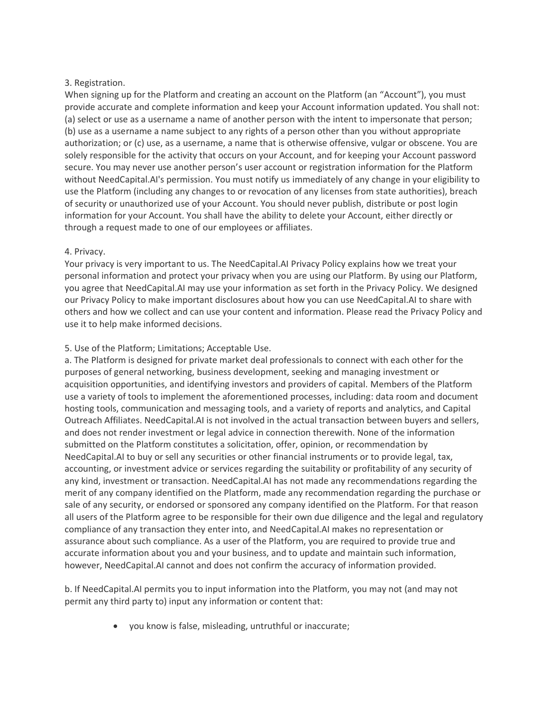## 3. Registration.

When signing up for the Platform and creating an account on the Platform (an "Account"), you must provide accurate and complete information and keep your Account information updated. You shall not: (a) select or use as a username a name of another person with the intent to impersonate that person; (b) use as a username a name subject to any rights of a person other than you without appropriate authorization; or (c) use, as a username, a name that is otherwise offensive, vulgar or obscene. You are solely responsible for the activity that occurs on your Account, and for keeping your Account password secure. You may never use another person's user account or registration information for the Platform without NeedCapital.AI's permission. You must notify us immediately of any change in your eligibility to use the Platform (including any changes to or revocation of any licenses from state authorities), breach of security or unauthorized use of your Account. You should never publish, distribute or post login information for your Account. You shall have the ability to delete your Account, either directly or through a request made to one of our employees or affiliates.

# 4. Privacy.

Your privacy is very important to us. The NeedCapital.AI Privacy Policy explains how we treat your personal information and protect your privacy when you are using our Platform. By using our Platform, you agree that NeedCapital.AI may use your information as set forth in the Privacy Policy. We designed our Privacy Policy to make important disclosures about how you can use NeedCapital.AI to share with others and how we collect and can use your content and information. Please read the Privacy Policy and use it to help make informed decisions.

# 5. Use of the Platform; Limitations; Acceptable Use.

a. The Platform is designed for private market deal professionals to connect with each other for the purposes of general networking, business development, seeking and managing investment or acquisition opportunities, and identifying investors and providers of capital. Members of the Platform use a variety of tools to implement the aforementioned processes, including: data room and document hosting tools, communication and messaging tools, and a variety of reports and analytics, and Capital Outreach Affiliates. NeedCapital.AI is not involved in the actual transaction between buyers and sellers, and does not render investment or legal advice in connection therewith. None of the information submitted on the Platform constitutes a solicitation, offer, opinion, or recommendation by NeedCapital.AI to buy or sell any securities or other financial instruments or to provide legal, tax, accounting, or investment advice or services regarding the suitability or profitability of any security of any kind, investment or transaction. NeedCapital.AI has not made any recommendations regarding the merit of any company identified on the Platform, made any recommendation regarding the purchase or sale of any security, or endorsed or sponsored any company identified on the Platform. For that reason all users of the Platform agree to be responsible for their own due diligence and the legal and regulatory compliance of any transaction they enter into, and NeedCapital.AI makes no representation or assurance about such compliance. As a user of the Platform, you are required to provide true and accurate information about you and your business, and to update and maintain such information, however, NeedCapital.AI cannot and does not confirm the accuracy of information provided.

b. If NeedCapital.AI permits you to input information into the Platform, you may not (and may not permit any third party to) input any information or content that:

• you know is false, misleading, untruthful or inaccurate;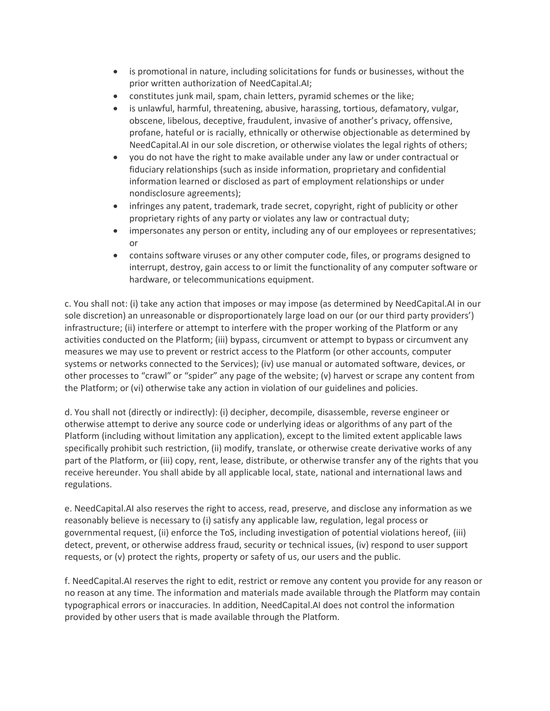- is promotional in nature, including solicitations for funds or businesses, without the prior written authorization of NeedCapital.AI;
- constitutes junk mail, spam, chain letters, pyramid schemes or the like;
- is unlawful, harmful, threatening, abusive, harassing, tortious, defamatory, vulgar, obscene, libelous, deceptive, fraudulent, invasive of another's privacy, offensive, profane, hateful or is racially, ethnically or otherwise objectionable as determined by NeedCapital.AI in our sole discretion, or otherwise violates the legal rights of others;
- you do not have the right to make available under any law or under contractual or fiduciary relationships (such as inside information, proprietary and confidential information learned or disclosed as part of employment relationships or under nondisclosure agreements);
- infringes any patent, trademark, trade secret, copyright, right of publicity or other proprietary rights of any party or violates any law or contractual duty;
- impersonates any person or entity, including any of our employees or representatives; or
- contains software viruses or any other computer code, files, or programs designed to interrupt, destroy, gain access to or limit the functionality of any computer software or hardware, or telecommunications equipment.

c. You shall not: (i) take any action that imposes or may impose (as determined by NeedCapital.AI in our sole discretion) an unreasonable or disproportionately large load on our (or our third party providers') infrastructure; (ii) interfere or attempt to interfere with the proper working of the Platform or any activities conducted on the Platform; (iii) bypass, circumvent or attempt to bypass or circumvent any measures we may use to prevent or restrict access to the Platform (or other accounts, computer systems or networks connected to the Services); (iv) use manual or automated software, devices, or other processes to "crawl" or "spider" any page of the website; (v) harvest or scrape any content from the Platform; or (vi) otherwise take any action in violation of our guidelines and policies.

d. You shall not (directly or indirectly): (i) decipher, decompile, disassemble, reverse engineer or otherwise attempt to derive any source code or underlying ideas or algorithms of any part of the Platform (including without limitation any application), except to the limited extent applicable laws specifically prohibit such restriction, (ii) modify, translate, or otherwise create derivative works of any part of the Platform, or (iii) copy, rent, lease, distribute, or otherwise transfer any of the rights that you receive hereunder. You shall abide by all applicable local, state, national and international laws and regulations.

e. NeedCapital.AI also reserves the right to access, read, preserve, and disclose any information as we reasonably believe is necessary to (i) satisfy any applicable law, regulation, legal process or governmental request, (ii) enforce the ToS, including investigation of potential violations hereof, (iii) detect, prevent, or otherwise address fraud, security or technical issues, (iv) respond to user support requests, or (v) protect the rights, property or safety of us, our users and the public.

f. NeedCapital.AI reserves the right to edit, restrict or remove any content you provide for any reason or no reason at any time. The information and materials made available through the Platform may contain typographical errors or inaccuracies. In addition, NeedCapital.AI does not control the information provided by other users that is made available through the Platform.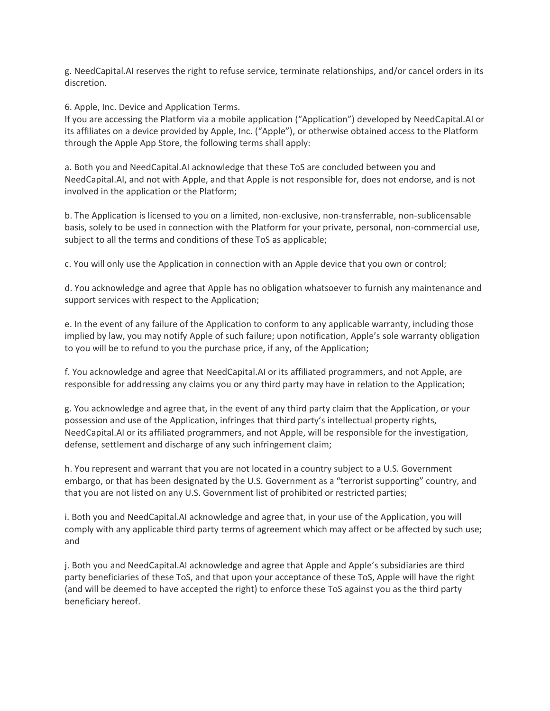g. NeedCapital.AI reserves the right to refuse service, terminate relationships, and/or cancel orders in its discretion.

6. Apple, Inc. Device and Application Terms.

If you are accessing the Platform via a mobile application ("Application") developed by NeedCapital.AI or its affiliates on a device provided by Apple, Inc. ("Apple"), or otherwise obtained access to the Platform through the Apple App Store, the following terms shall apply:

a. Both you and NeedCapital.AI acknowledge that these ToS are concluded between you and NeedCapital.AI, and not with Apple, and that Apple is not responsible for, does not endorse, and is not involved in the application or the Platform;

b. The Application is licensed to you on a limited, non-exclusive, non-transferrable, non-sublicensable basis, solely to be used in connection with the Platform for your private, personal, non-commercial use, subject to all the terms and conditions of these ToS as applicable;

c. You will only use the Application in connection with an Apple device that you own or control;

d. You acknowledge and agree that Apple has no obligation whatsoever to furnish any maintenance and support services with respect to the Application;

e. In the event of any failure of the Application to conform to any applicable warranty, including those implied by law, you may notify Apple of such failure; upon notification, Apple's sole warranty obligation to you will be to refund to you the purchase price, if any, of the Application;

f. You acknowledge and agree that NeedCapital.AI or its affiliated programmers, and not Apple, are responsible for addressing any claims you or any third party may have in relation to the Application;

g. You acknowledge and agree that, in the event of any third party claim that the Application, or your possession and use of the Application, infringes that third party's intellectual property rights, NeedCapital.AI or its affiliated programmers, and not Apple, will be responsible for the investigation, defense, settlement and discharge of any such infringement claim;

h. You represent and warrant that you are not located in a country subject to a U.S. Government embargo, or that has been designated by the U.S. Government as a "terrorist supporting" country, and that you are not listed on any U.S. Government list of prohibited or restricted parties;

i. Both you and NeedCapital.AI acknowledge and agree that, in your use of the Application, you will comply with any applicable third party terms of agreement which may affect or be affected by such use; and

j. Both you and NeedCapital.AI acknowledge and agree that Apple and Apple's subsidiaries are third party beneficiaries of these ToS, and that upon your acceptance of these ToS, Apple will have the right (and will be deemed to have accepted the right) to enforce these ToS against you as the third party beneficiary hereof.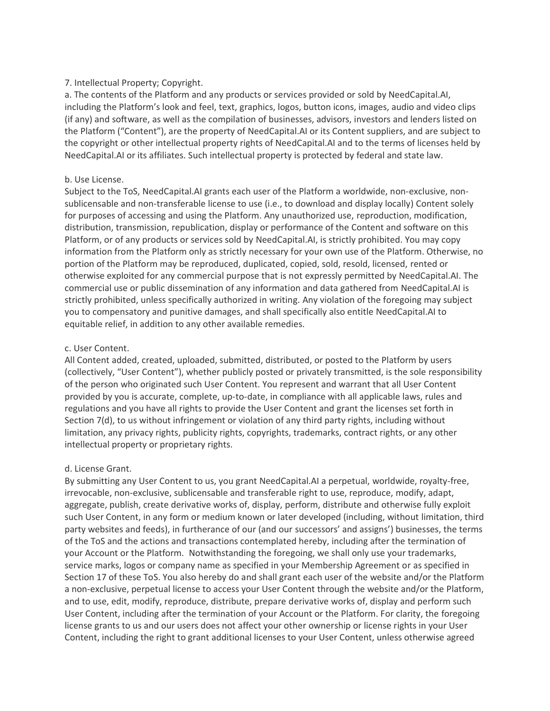## 7. Intellectual Property; Copyright.

a. The contents of the Platform and any products or services provided or sold by NeedCapital.AI, including the Platform's look and feel, text, graphics, logos, button icons, images, audio and video clips (if any) and software, as well as the compilation of businesses, advisors, investors and lenders listed on the Platform ("Content"), are the property of NeedCapital.AI or its Content suppliers, and are subject to the copyright or other intellectual property rights of NeedCapital.AI and to the terms of licenses held by NeedCapital.AI or its affiliates. Such intellectual property is protected by federal and state law.

## b. Use License.

Subject to the ToS, NeedCapital.AI grants each user of the Platform a worldwide, non-exclusive, nonsublicensable and non-transferable license to use (i.e., to download and display locally) Content solely for purposes of accessing and using the Platform. Any unauthorized use, reproduction, modification, distribution, transmission, republication, display or performance of the Content and software on this Platform, or of any products or services sold by NeedCapital.AI, is strictly prohibited. You may copy information from the Platform only as strictly necessary for your own use of the Platform. Otherwise, no portion of the Platform may be reproduced, duplicated, copied, sold, resold, licensed, rented or otherwise exploited for any commercial purpose that is not expressly permitted by NeedCapital.AI. The commercial use or public dissemination of any information and data gathered from NeedCapital.AI is strictly prohibited, unless specifically authorized in writing. Any violation of the foregoing may subject you to compensatory and punitive damages, and shall specifically also entitle NeedCapital.AI to equitable relief, in addition to any other available remedies.

# c. User Content.

All Content added, created, uploaded, submitted, distributed, or posted to the Platform by users (collectively, "User Content"), whether publicly posted or privately transmitted, is the sole responsibility of the person who originated such User Content. You represent and warrant that all User Content provided by you is accurate, complete, up-to-date, in compliance with all applicable laws, rules and regulations and you have all rights to provide the User Content and grant the licenses set forth in Section 7(d), to us without infringement or violation of any third party rights, including without limitation, any privacy rights, publicity rights, copyrights, trademarks, contract rights, or any other intellectual property or proprietary rights.

# d. License Grant.

By submitting any User Content to us, you grant NeedCapital.AI a perpetual, worldwide, royalty-free, irrevocable, non-exclusive, sublicensable and transferable right to use, reproduce, modify, adapt, aggregate, publish, create derivative works of, display, perform, distribute and otherwise fully exploit such User Content, in any form or medium known or later developed (including, without limitation, third party websites and feeds), in furtherance of our (and our successors' and assigns') businesses, the terms of the ToS and the actions and transactions contemplated hereby, including after the termination of your Account or the Platform. Notwithstanding the foregoing, we shall only use your trademarks, service marks, logos or company name as specified in your Membership Agreement or as specified in Section 17 of these ToS. You also hereby do and shall grant each user of the website and/or the Platform a non-exclusive, perpetual license to access your User Content through the website and/or the Platform, and to use, edit, modify, reproduce, distribute, prepare derivative works of, display and perform such User Content, including after the termination of your Account or the Platform. For clarity, the foregoing license grants to us and our users does not affect your other ownership or license rights in your User Content, including the right to grant additional licenses to your User Content, unless otherwise agreed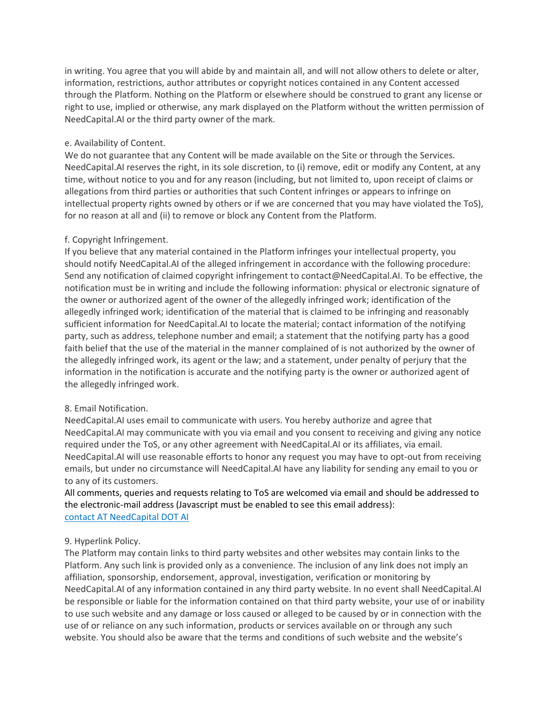in writing. You agree that you will abide by and maintain all, and will not allow others to delete or alter, information, restrictions, author attributes or copyright notices contained in any Content accessed through the Platform. Nothing on the Platform or elsewhere should be construed to grant any license or right to use, implied or otherwise, any mark displayed on the Platform without the written permission of NeedCapital.AI or the third party owner of the mark.

## e. Availability of Content.

We do not guarantee that any Content will be made available on the Site or through the Services. NeedCapital.AI reserves the right, in its sole discretion, to (i) remove, edit or modify any Content, at any time, without notice to you and for any reason (including, but not limited to, upon receipt of claims or allegations from third parties or authorities that such Content infringes or appears to infringe on intellectual property rights owned by others or if we are concerned that you may have violated the ToS), for no reason at all and (ii) to remove or block any Content from the Platform.

# f. Copyright Infringement.

If you believe that any material contained in the Platform infringes your intellectual property, you should notify NeedCapital.AI of the alleged infringement in accordance with the following procedure: Send any notification of claimed copyright infringement to contact@NeedCapital.AI. To be effective, the notification must be in writing and include the following information: physical or electronic signature of the owner or authorized agent of the owner of the allegedly infringed work; identification of the allegedly infringed work; identification of the material that is claimed to be infringing and reasonably sufficient information for NeedCapital.AI to locate the material; contact information of the notifying party, such as address, telephone number and email; a statement that the notifying party has a good faith belief that the use of the material in the manner complained of is not authorized by the owner of the allegedly infringed work, its agent or the law; and a statement, under penalty of perjury that the information in the notification is accurate and the notifying party is the owner or authorized agent of the allegedly infringed work.

# 8. Email Notification.

NeedCapital.AI uses email to communicate with users. You hereby authorize and agree that NeedCapital.AI may communicate with you via email and you consent to receiving and giving any notice required under the ToS, or any other agreement with NeedCapital.AI or its affiliates, via email. NeedCapital.AI will use reasonable efforts to honor any request you may have to opt-out from receiving emails, but under no circumstance will NeedCapital.AI have any liability for sending any email to you or to any of its customers.

All comments, queries and requests relating to ToS are welcomed via email and should be addressed to the electronic-mail address (Javascript must be enabled to see this email address): contact AT NeedCapital DOT AI

# 9. Hyperlink Policy.

The Platform may contain links to third party websites and other websites may contain links to the Platform. Any such link is provided only as a convenience. The inclusion of any link does not imply an affiliation, sponsorship, endorsement, approval, investigation, verification or monitoring by NeedCapital.AI of any information contained in any third party website. In no event shall NeedCapital.AI be responsible or liable for the information contained on that third party website, your use of or inability to use such website and any damage or loss caused or alleged to be caused by or in connection with the use of or reliance on any such information, products or services available on or through any such website. You should also be aware that the terms and conditions of such website and the website's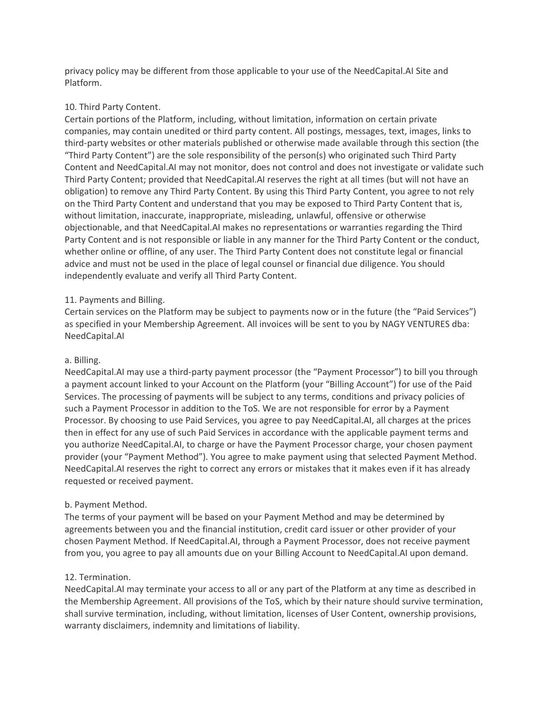privacy policy may be different from those applicable to your use of the NeedCapital.AI Site and Platform.

## 10. Third Party Content.

Certain portions of the Platform, including, without limitation, information on certain private companies, may contain unedited or third party content. All postings, messages, text, images, links to third-party websites or other materials published or otherwise made available through this section (the "Third Party Content") are the sole responsibility of the person(s) who originated such Third Party Content and NeedCapital.AI may not monitor, does not control and does not investigate or validate such Third Party Content; provided that NeedCapital.AI reserves the right at all times (but will not have an obligation) to remove any Third Party Content. By using this Third Party Content, you agree to not rely on the Third Party Content and understand that you may be exposed to Third Party Content that is, without limitation, inaccurate, inappropriate, misleading, unlawful, offensive or otherwise objectionable, and that NeedCapital.AI makes no representations or warranties regarding the Third Party Content and is not responsible or liable in any manner for the Third Party Content or the conduct, whether online or offline, of any user. The Third Party Content does not constitute legal or financial advice and must not be used in the place of legal counsel or financial due diligence. You should independently evaluate and verify all Third Party Content.

# 11. Payments and Billing.

Certain services on the Platform may be subject to payments now or in the future (the "Paid Services") as specified in your Membership Agreement. All invoices will be sent to you by NAGY VENTURES dba: NeedCapital.AI

## a. Billing.

NeedCapital.AI may use a third-party payment processor (the "Payment Processor") to bill you through a payment account linked to your Account on the Platform (your "Billing Account") for use of the Paid Services. The processing of payments will be subject to any terms, conditions and privacy policies of such a Payment Processor in addition to the ToS. We are not responsible for error by a Payment Processor. By choosing to use Paid Services, you agree to pay NeedCapital.AI, all charges at the prices then in effect for any use of such Paid Services in accordance with the applicable payment terms and you authorize NeedCapital.AI, to charge or have the Payment Processor charge, your chosen payment provider (your "Payment Method"). You agree to make payment using that selected Payment Method. NeedCapital.AI reserves the right to correct any errors or mistakes that it makes even if it has already requested or received payment.

# b. Payment Method.

The terms of your payment will be based on your Payment Method and may be determined by agreements between you and the financial institution, credit card issuer or other provider of your chosen Payment Method. If NeedCapital.AI, through a Payment Processor, does not receive payment from you, you agree to pay all amounts due on your Billing Account to NeedCapital.AI upon demand.

## 12. Termination.

NeedCapital.AI may terminate your access to all or any part of the Platform at any time as described in the Membership Agreement. All provisions of the ToS, which by their nature should survive termination, shall survive termination, including, without limitation, licenses of User Content, ownership provisions, warranty disclaimers, indemnity and limitations of liability.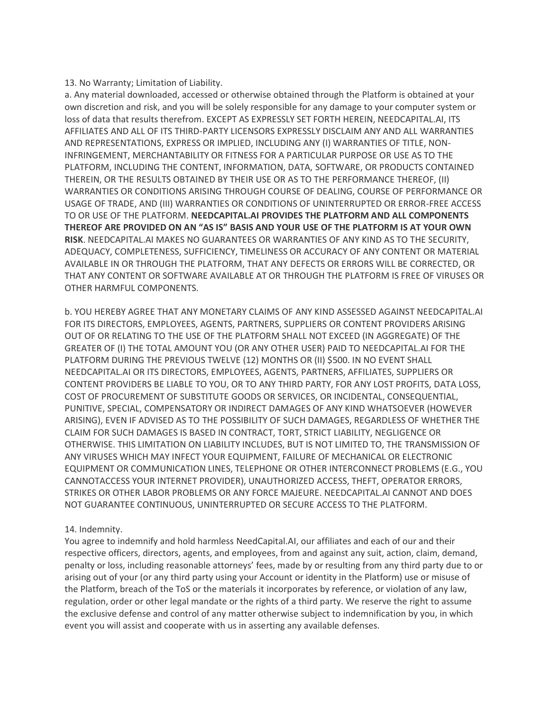#### 13. No Warranty; Limitation of Liability.

a. Any material downloaded, accessed or otherwise obtained through the Platform is obtained at your own discretion and risk, and you will be solely responsible for any damage to your computer system or loss of data that results therefrom. EXCEPT AS EXPRESSLY SET FORTH HEREIN, NEEDCAPITAL.AI, ITS AFFILIATES AND ALL OF ITS THIRD-PARTY LICENSORS EXPRESSLY DISCLAIM ANY AND ALL WARRANTIES AND REPRESENTATIONS, EXPRESS OR IMPLIED, INCLUDING ANY (I) WARRANTIES OF TITLE, NON-INFRINGEMENT, MERCHANTABILITY OR FITNESS FOR A PARTICULAR PURPOSE OR USE AS TO THE PLATFORM, INCLUDING THE CONTENT, INFORMATION, DATA, SOFTWARE, OR PRODUCTS CONTAINED THEREIN, OR THE RESULTS OBTAINED BY THEIR USE OR AS TO THE PERFORMANCE THEREOF, (II) WARRANTIES OR CONDITIONS ARISING THROUGH COURSE OF DEALING, COURSE OF PERFORMANCE OR USAGE OF TRADE, AND (III) WARRANTIES OR CONDITIONS OF UNINTERRUPTED OR ERROR-FREE ACCESS TO OR USE OF THE PLATFORM. **NEEDCAPITAL.AI PROVIDES THE PLATFORM AND ALL COMPONENTS THEREOF ARE PROVIDED ON AN "AS IS" BASIS AND YOUR USE OF THE PLATFORM IS AT YOUR OWN RISK**. NEEDCAPITAL.AI MAKES NO GUARANTEES OR WARRANTIES OF ANY KIND AS TO THE SECURITY, ADEQUACY, COMPLETENESS, SUFFICIENCY, TIMELINESS OR ACCURACY OF ANY CONTENT OR MATERIAL AVAILABLE IN OR THROUGH THE PLATFORM, THAT ANY DEFECTS OR ERRORS WILL BE CORRECTED, OR THAT ANY CONTENT OR SOFTWARE AVAILABLE AT OR THROUGH THE PLATFORM IS FREE OF VIRUSES OR OTHER HARMFUL COMPONENTS.

b. YOU HEREBY AGREE THAT ANY MONETARY CLAIMS OF ANY KIND ASSESSED AGAINST NEEDCAPITAL.AI FOR ITS DIRECTORS, EMPLOYEES, AGENTS, PARTNERS, SUPPLIERS OR CONTENT PROVIDERS ARISING OUT OF OR RELATING TO THE USE OF THE PLATFORM SHALL NOT EXCEED (IN AGGREGATE) OF THE GREATER OF (I) THE TOTAL AMOUNT YOU (OR ANY OTHER USER) PAID TO NEEDCAPITAL.AI FOR THE PLATFORM DURING THE PREVIOUS TWELVE (12) MONTHS OR (II) \$500. IN NO EVENT SHALL NEEDCAPITAL.AI OR ITS DIRECTORS, EMPLOYEES, AGENTS, PARTNERS, AFFILIATES, SUPPLIERS OR CONTENT PROVIDERS BE LIABLE TO YOU, OR TO ANY THIRD PARTY, FOR ANY LOST PROFITS, DATA LOSS, COST OF PROCUREMENT OF SUBSTITUTE GOODS OR SERVICES, OR INCIDENTAL, CONSEQUENTIAL, PUNITIVE, SPECIAL, COMPENSATORY OR INDIRECT DAMAGES OF ANY KIND WHATSOEVER (HOWEVER ARISING), EVEN IF ADVISED AS TO THE POSSIBILITY OF SUCH DAMAGES, REGARDLESS OF WHETHER THE CLAIM FOR SUCH DAMAGES IS BASED IN CONTRACT, TORT, STRICT LIABILITY, NEGLIGENCE OR OTHERWISE. THIS LIMITATION ON LIABILITY INCLUDES, BUT IS NOT LIMITED TO, THE TRANSMISSION OF ANY VIRUSES WHICH MAY INFECT YOUR EQUIPMENT, FAILURE OF MECHANICAL OR ELECTRONIC EQUIPMENT OR COMMUNICATION LINES, TELEPHONE OR OTHER INTERCONNECT PROBLEMS (E.G., YOU CANNOTACCESS YOUR INTERNET PROVIDER), UNAUTHORIZED ACCESS, THEFT, OPERATOR ERRORS, STRIKES OR OTHER LABOR PROBLEMS OR ANY FORCE MAJEURE. NEEDCAPITAL.AI CANNOT AND DOES NOT GUARANTEE CONTINUOUS, UNINTERRUPTED OR SECURE ACCESS TO THE PLATFORM.

## 14. Indemnity.

You agree to indemnify and hold harmless NeedCapital.AI, our affiliates and each of our and their respective officers, directors, agents, and employees, from and against any suit, action, claim, demand, penalty or loss, including reasonable attorneys' fees, made by or resulting from any third party due to or arising out of your (or any third party using your Account or identity in the Platform) use or misuse of the Platform, breach of the ToS or the materials it incorporates by reference, or violation of any law, regulation, order or other legal mandate or the rights of a third party. We reserve the right to assume the exclusive defense and control of any matter otherwise subject to indemnification by you, in which event you will assist and cooperate with us in asserting any available defenses.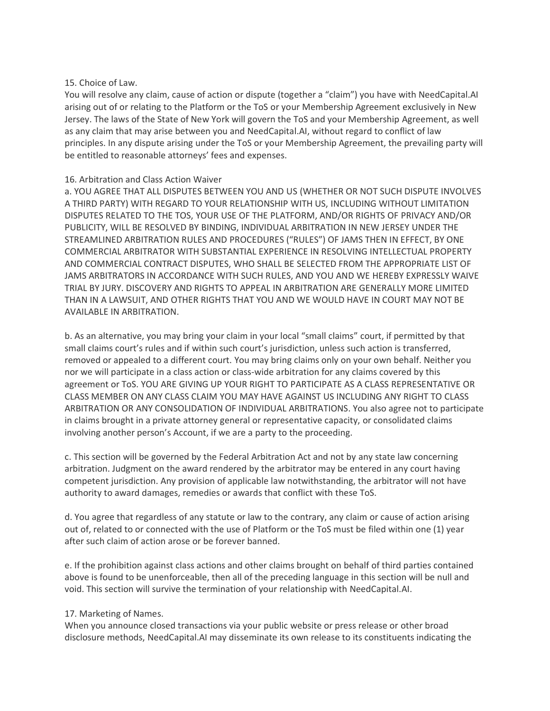#### 15. Choice of Law.

You will resolve any claim, cause of action or dispute (together a "claim") you have with NeedCapital.AI arising out of or relating to the Platform or the ToS or your Membership Agreement exclusively in New Jersey. The laws of the State of New York will govern the ToS and your Membership Agreement, as well as any claim that may arise between you and NeedCapital.AI, without regard to conflict of law principles. In any dispute arising under the ToS or your Membership Agreement, the prevailing party will be entitled to reasonable attorneys' fees and expenses.

#### 16. Arbitration and Class Action Waiver

a. YOU AGREE THAT ALL DISPUTES BETWEEN YOU AND US (WHETHER OR NOT SUCH DISPUTE INVOLVES A THIRD PARTY) WITH REGARD TO YOUR RELATIONSHIP WITH US, INCLUDING WITHOUT LIMITATION DISPUTES RELATED TO THE TOS, YOUR USE OF THE PLATFORM, AND/OR RIGHTS OF PRIVACY AND/OR PUBLICITY, WILL BE RESOLVED BY BINDING, INDIVIDUAL ARBITRATION IN NEW JERSEY UNDER THE STREAMLINED ARBITRATION RULES AND PROCEDURES ("RULES") OF JAMS THEN IN EFFECT, BY ONE COMMERCIAL ARBITRATOR WITH SUBSTANTIAL EXPERIENCE IN RESOLVING INTELLECTUAL PROPERTY AND COMMERCIAL CONTRACT DISPUTES, WHO SHALL BE SELECTED FROM THE APPROPRIATE LIST OF JAMS ARBITRATORS IN ACCORDANCE WITH SUCH RULES, AND YOU AND WE HEREBY EXPRESSLY WAIVE TRIAL BY JURY. DISCOVERY AND RIGHTS TO APPEAL IN ARBITRATION ARE GENERALLY MORE LIMITED THAN IN A LAWSUIT, AND OTHER RIGHTS THAT YOU AND WE WOULD HAVE IN COURT MAY NOT BE AVAILABLE IN ARBITRATION.

b. As an alternative, you may bring your claim in your local "small claims" court, if permitted by that small claims court's rules and if within such court's jurisdiction, unless such action is transferred, removed or appealed to a different court. You may bring claims only on your own behalf. Neither you nor we will participate in a class action or class-wide arbitration for any claims covered by this agreement or ToS. YOU ARE GIVING UP YOUR RIGHT TO PARTICIPATE AS A CLASS REPRESENTATIVE OR CLASS MEMBER ON ANY CLASS CLAIM YOU MAY HAVE AGAINST US INCLUDING ANY RIGHT TO CLASS ARBITRATION OR ANY CONSOLIDATION OF INDIVIDUAL ARBITRATIONS. You also agree not to participate in claims brought in a private attorney general or representative capacity, or consolidated claims involving another person's Account, if we are a party to the proceeding.

c. This section will be governed by the Federal Arbitration Act and not by any state law concerning arbitration. Judgment on the award rendered by the arbitrator may be entered in any court having competent jurisdiction. Any provision of applicable law notwithstanding, the arbitrator will not have authority to award damages, remedies or awards that conflict with these ToS.

d. You agree that regardless of any statute or law to the contrary, any claim or cause of action arising out of, related to or connected with the use of Platform or the ToS must be filed within one (1) year after such claim of action arose or be forever banned.

e. If the prohibition against class actions and other claims brought on behalf of third parties contained above is found to be unenforceable, then all of the preceding language in this section will be null and void. This section will survive the termination of your relationship with NeedCapital.AI.

## 17. Marketing of Names.

When you announce closed transactions via your public website or press release or other broad disclosure methods, NeedCapital.AI may disseminate its own release to its constituents indicating the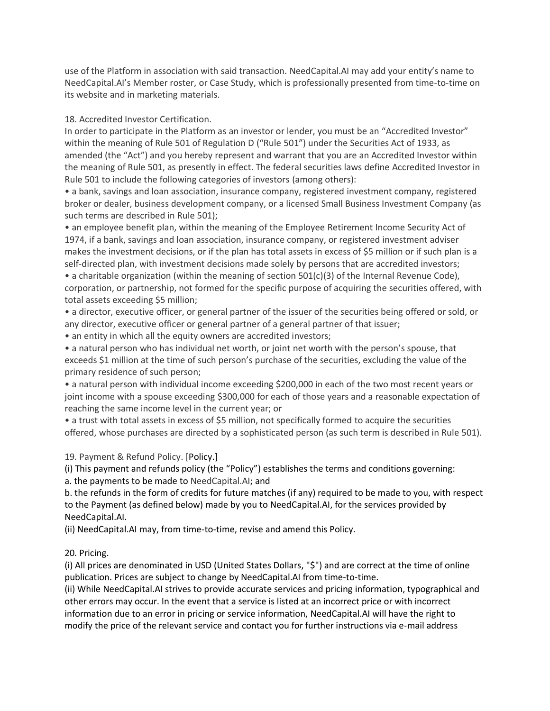use of the Platform in association with said transaction. NeedCapital.AI may add your entity's name to NeedCapital.AI's Member roster, or Case Study, which is professionally presented from time-to-time on its website and in marketing materials.

18. Accredited Investor Certification.

In order to participate in the Platform as an investor or lender, you must be an "Accredited Investor" within the meaning of Rule 501 of Regulation D ("Rule 501") under the Securities Act of 1933, as amended (the "Act") and you hereby represent and warrant that you are an Accredited Investor within the meaning of Rule 501, as presently in effect. The federal securities laws define Accredited Investor in Rule 501 to include the following categories of investors (among others):

• a bank, savings and loan association, insurance company, registered investment company, registered broker or dealer, business development company, or a licensed Small Business Investment Company (as such terms are described in Rule 501);

• an employee benefit plan, within the meaning of the Employee Retirement Income Security Act of 1974, if a bank, savings and loan association, insurance company, or registered investment adviser makes the investment decisions, or if the plan has total assets in excess of \$5 million or if such plan is a self-directed plan, with investment decisions made solely by persons that are accredited investors; • a charitable organization (within the meaning of section 501(c)(3) of the Internal Revenue Code), corporation, or partnership, not formed for the specific purpose of acquiring the securities offered, with total assets exceeding \$5 million;

• a director, executive officer, or general partner of the issuer of the securities being offered or sold, or any director, executive officer or general partner of a general partner of that issuer;

• an entity in which all the equity owners are accredited investors;

• a natural person who has individual net worth, or joint net worth with the person's spouse, that exceeds \$1 million at the time of such person's purchase of the securities, excluding the value of the primary residence of such person;

• a natural person with individual income exceeding \$200,000 in each of the two most recent years or joint income with a spouse exceeding \$300,000 for each of those years and a reasonable expectation of reaching the same income level in the current year; or

• a trust with total assets in excess of \$5 million, not specifically formed to acquire the securities offered, whose purchases are directed by a sophisticated person (as such term is described in Rule 501).

# 19. Payment & Refund Policy. [Policy.]

(i) This payment and refunds policy (the "Policy") establishes the terms and conditions governing:

a. the payments to be made to NeedCapital.AI; and

b. the refunds in the form of credits for future matches (if any) required to be made to you, with respect to the Payment (as defined below) made by you to NeedCapital.AI, for the services provided by NeedCapital.AI.

(ii) NeedCapital.AI may, from time-to-time, revise and amend this Policy.

# 20. Pricing.

(i) All prices are denominated in USD (United States Dollars, "\$") and are correct at the time of online publication. Prices are subject to change by NeedCapital.AI from time-to-time.

(ii) While NeedCapital.AI strives to provide accurate services and pricing information, typographical and other errors may occur. In the event that a service is listed at an incorrect price or with incorrect information due to an error in pricing or service information, NeedCapital.AI will have the right to modify the price of the relevant service and contact you for further instructions via e-mail address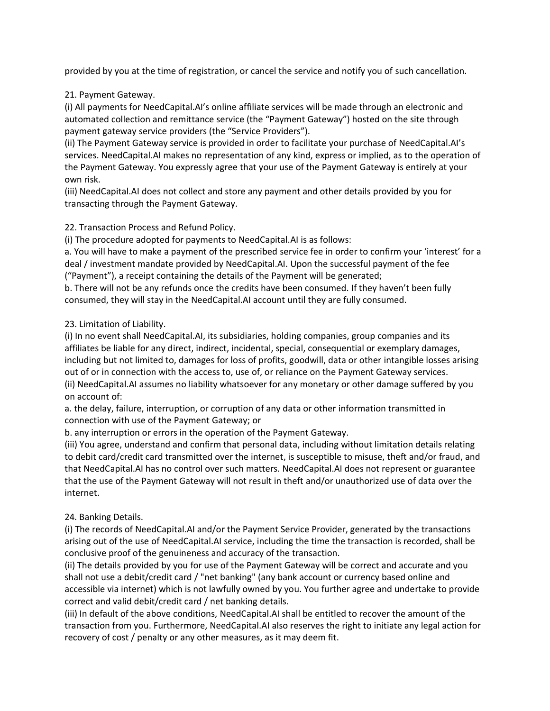provided by you at the time of registration, or cancel the service and notify you of such cancellation.

21. Payment Gateway.

(i) All payments for NeedCapital.AI's online affiliate services will be made through an electronic and automated collection and remittance service (the "Payment Gateway") hosted on the site through payment gateway service providers (the "Service Providers").

(ii) The Payment Gateway service is provided in order to facilitate your purchase of NeedCapital.AI's services. NeedCapital.AI makes no representation of any kind, express or implied, as to the operation of the Payment Gateway. You expressly agree that your use of the Payment Gateway is entirely at your own risk.

(iii) NeedCapital.AI does not collect and store any payment and other details provided by you for transacting through the Payment Gateway.

# 22. Transaction Process and Refund Policy.

(i) The procedure adopted for payments to NeedCapital.AI is as follows:

a. You will have to make a payment of the prescribed service fee in order to confirm your 'interest' for a deal / investment mandate provided by NeedCapital.AI. Upon the successful payment of the fee ("Payment"), a receipt containing the details of the Payment will be generated;

b. There will not be any refunds once the credits have been consumed. If they haven't been fully consumed, they will stay in the NeedCapital.AI account until they are fully consumed.

# 23. Limitation of Liability.

(i) In no event shall NeedCapital.AI, its subsidiaries, holding companies, group companies and its affiliates be liable for any direct, indirect, incidental, special, consequential or exemplary damages, including but not limited to, damages for loss of profits, goodwill, data or other intangible losses arising out of or in connection with the access to, use of, or reliance on the Payment Gateway services. (ii) NeedCapital.AI assumes no liability whatsoever for any monetary or other damage suffered by you on account of:

a. the delay, failure, interruption, or corruption of any data or other information transmitted in connection with use of the Payment Gateway; or

b. any interruption or errors in the operation of the Payment Gateway.

(iii) You agree, understand and confirm that personal data, including without limitation details relating to debit card/credit card transmitted over the internet, is susceptible to misuse, theft and/or fraud, and that NeedCapital.AI has no control over such matters. NeedCapital.AI does not represent or guarantee that the use of the Payment Gateway will not result in theft and/or unauthorized use of data over the internet.

## 24. Banking Details.

(i) The records of NeedCapital.AI and/or the Payment Service Provider, generated by the transactions arising out of the use of NeedCapital.AI service, including the time the transaction is recorded, shall be conclusive proof of the genuineness and accuracy of the transaction.

(ii) The details provided by you for use of the Payment Gateway will be correct and accurate and you shall not use a debit/credit card / "net banking" (any bank account or currency based online and accessible via internet) which is not lawfully owned by you. You further agree and undertake to provide correct and valid debit/credit card / net banking details.

(iii) In default of the above conditions, NeedCapital.AI shall be entitled to recover the amount of the transaction from you. Furthermore, NeedCapital.AI also reserves the right to initiate any legal action for recovery of cost / penalty or any other measures, as it may deem fit.